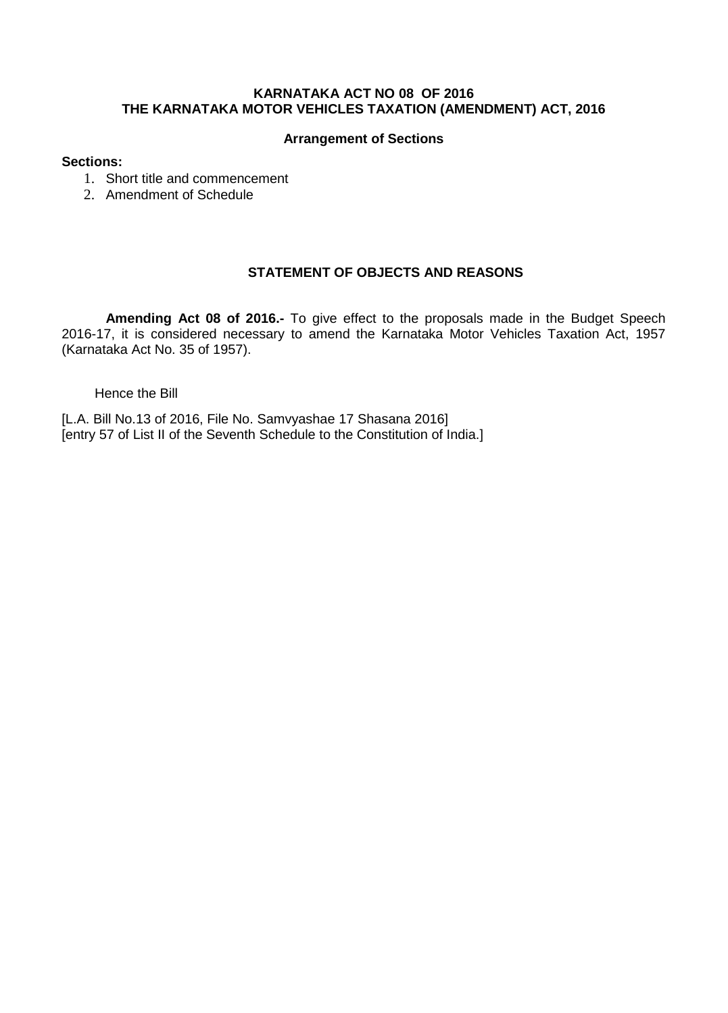## **KARNATAKA ACT NO 08 OF 2016 THE KARNATAKA MOTOR VEHICLES TAXATION (AMENDMENT) ACT, 2016**

### **Arrangement of Sections**

### **Sections:**

- 1. Short title and commencement
- 2. Amendment of Schedule

## **STATEMENT OF OBJECTS AND REASONS**

**Amending Act 08 of 2016.-** To give effect to the proposals made in the Budget Speech 2016-17, it is considered necessary to amend the Karnataka Motor Vehicles Taxation Act, 1957 (Karnataka Act No. 35 of 1957).

#### Hence the Bill

[L.A. Bill No.13 of 2016, File No. Samvyashae 17 Shasana 2016] [entry 57 of List II of the Seventh Schedule to the Constitution of India.]